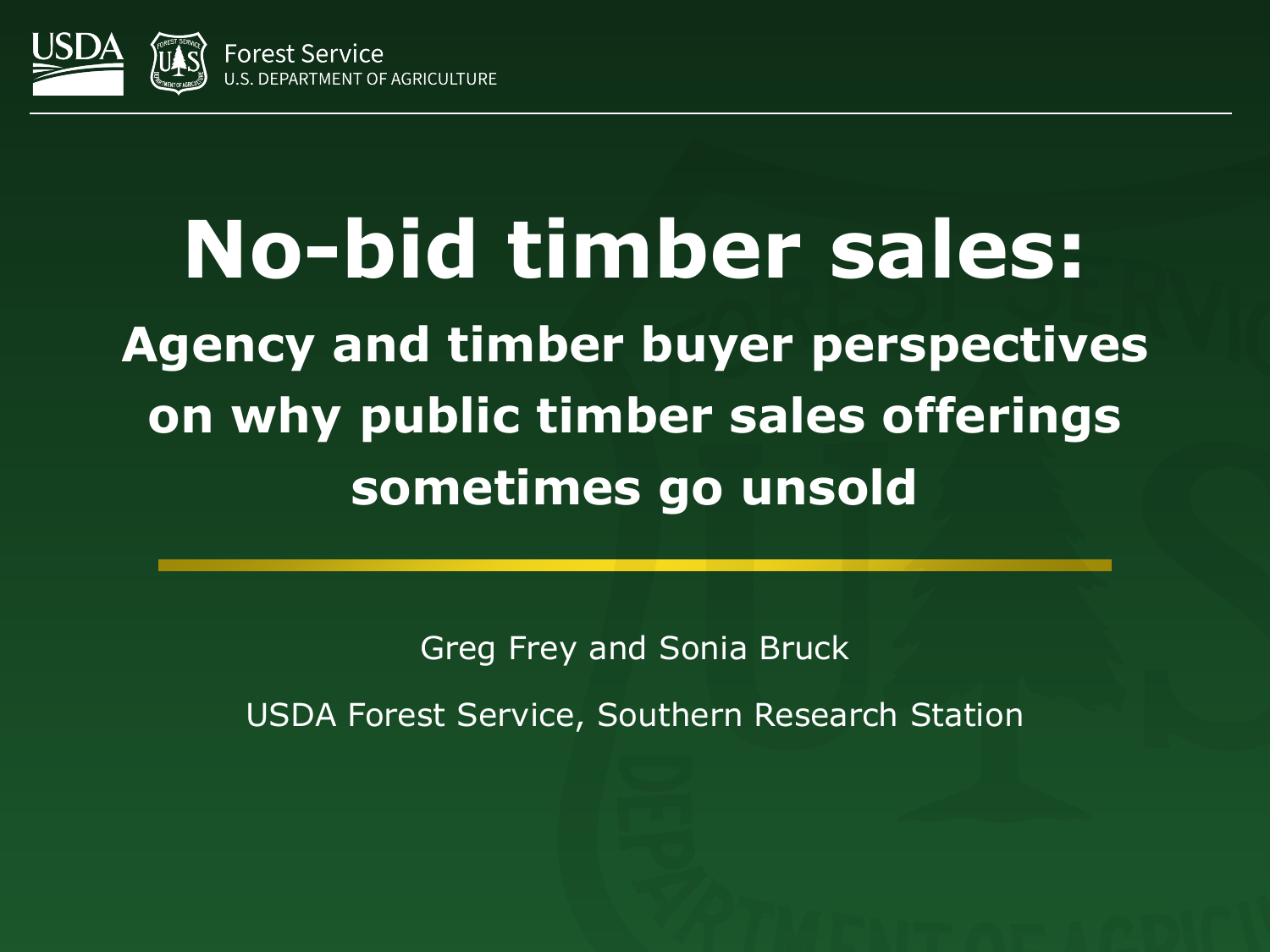

# **No-bid timber sales: Agency and timber buyer perspectives on why public timber sales offerings sometimes go unsold**

Greg Frey and Sonia Bruck

USDA Forest Service, Southern Research Station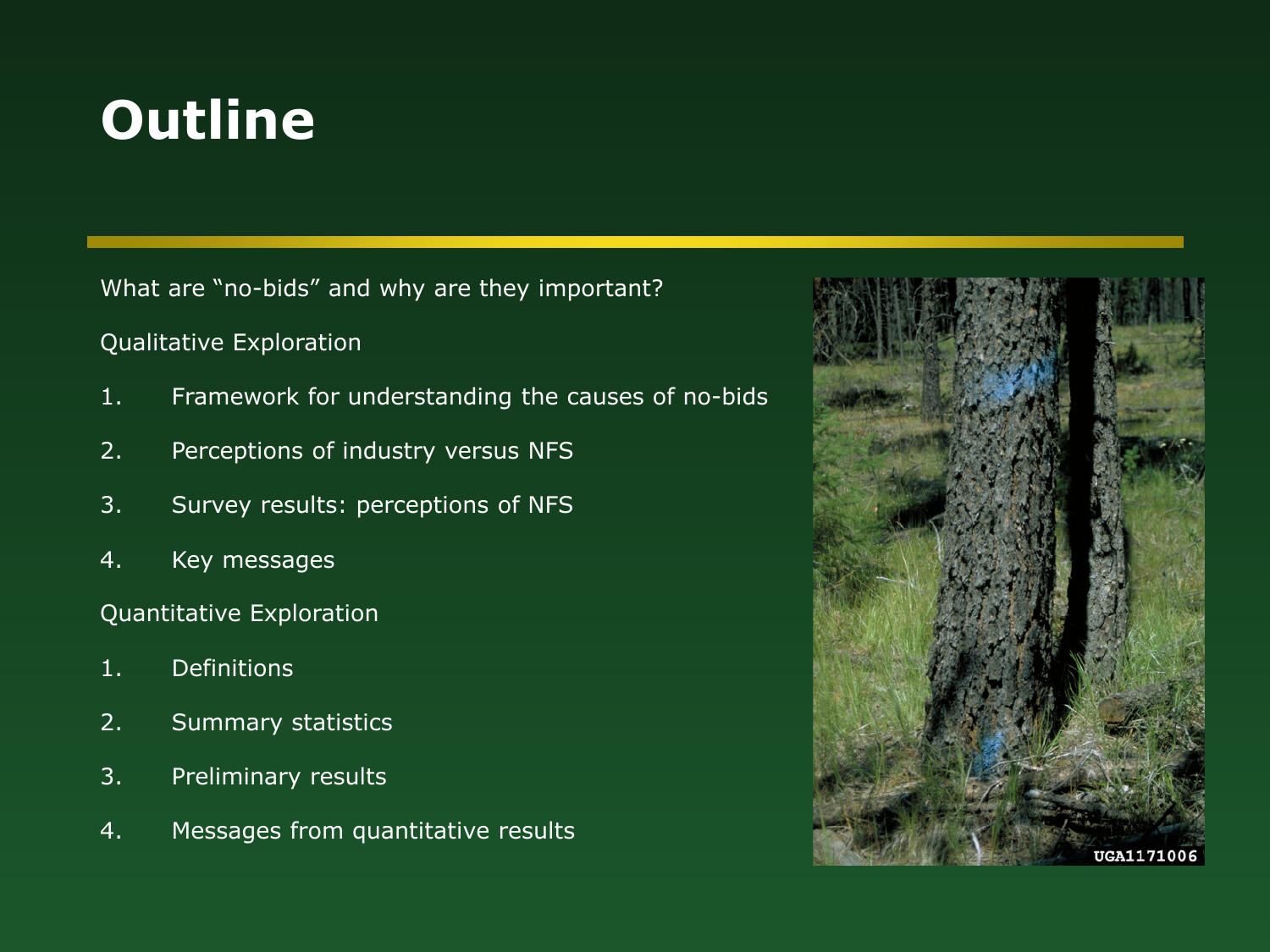# **Outline**

What are "no-bids" and why are they important?

Qualitative Exploration

- 1. Framework for understanding the causes of no-bids
- 2. Perceptions of industry versus NFS
- 3. Survey results: perceptions of NFS
- 4. Key messages

Quantitative Exploration

- 1. Definitions
- 2. Summary statistics
- 3. Preliminary results
- 4. Messages from quantitative results

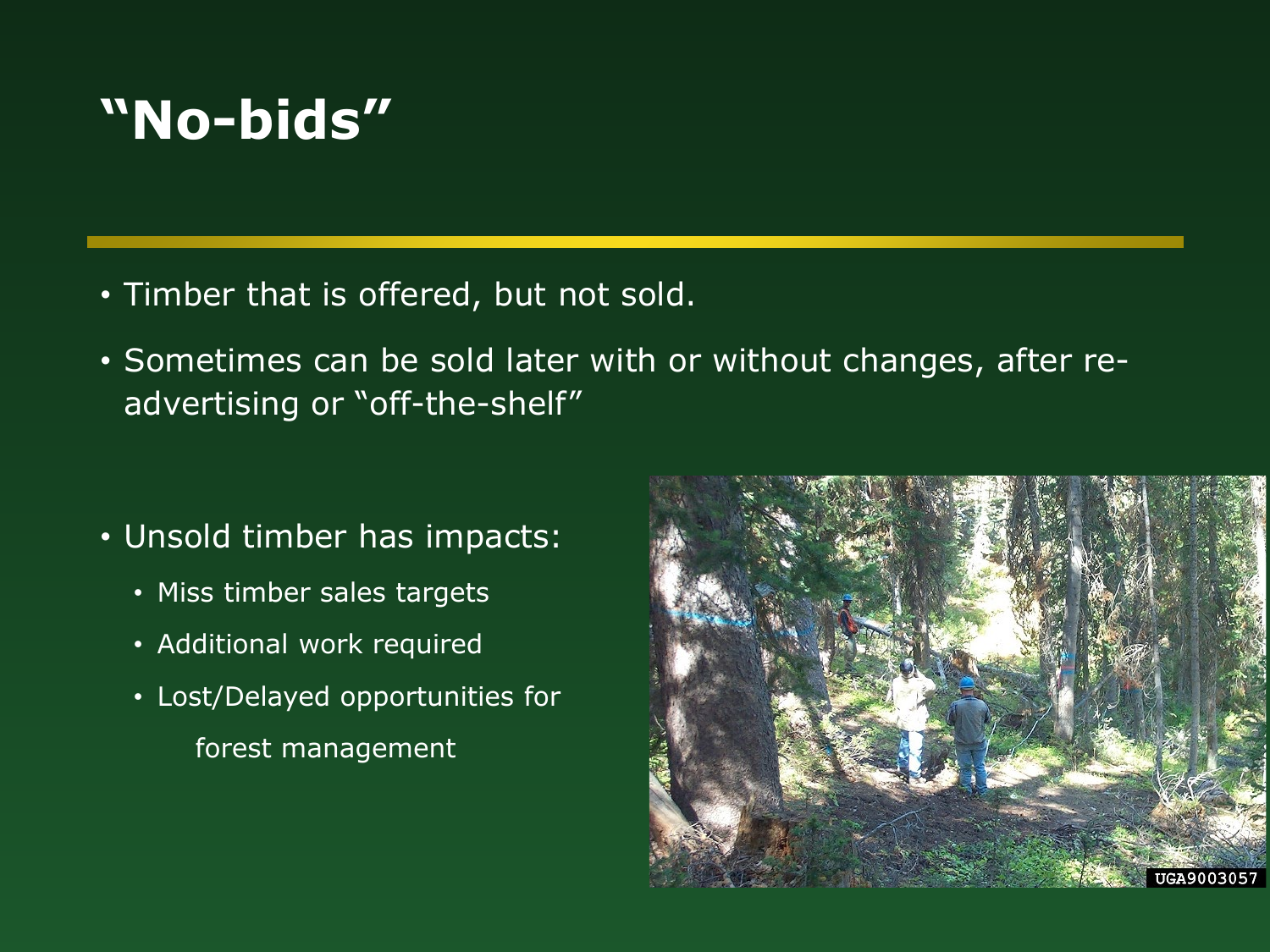# **"No-bids"**

- Timber that is offered, but not sold.
- Sometimes can be sold later with or without changes, after readvertising or "off-the-shelf"
- Unsold timber has impacts:
	- Miss timber sales targets
	- Additional work required
	- Lost/Delayed opportunities for forest management

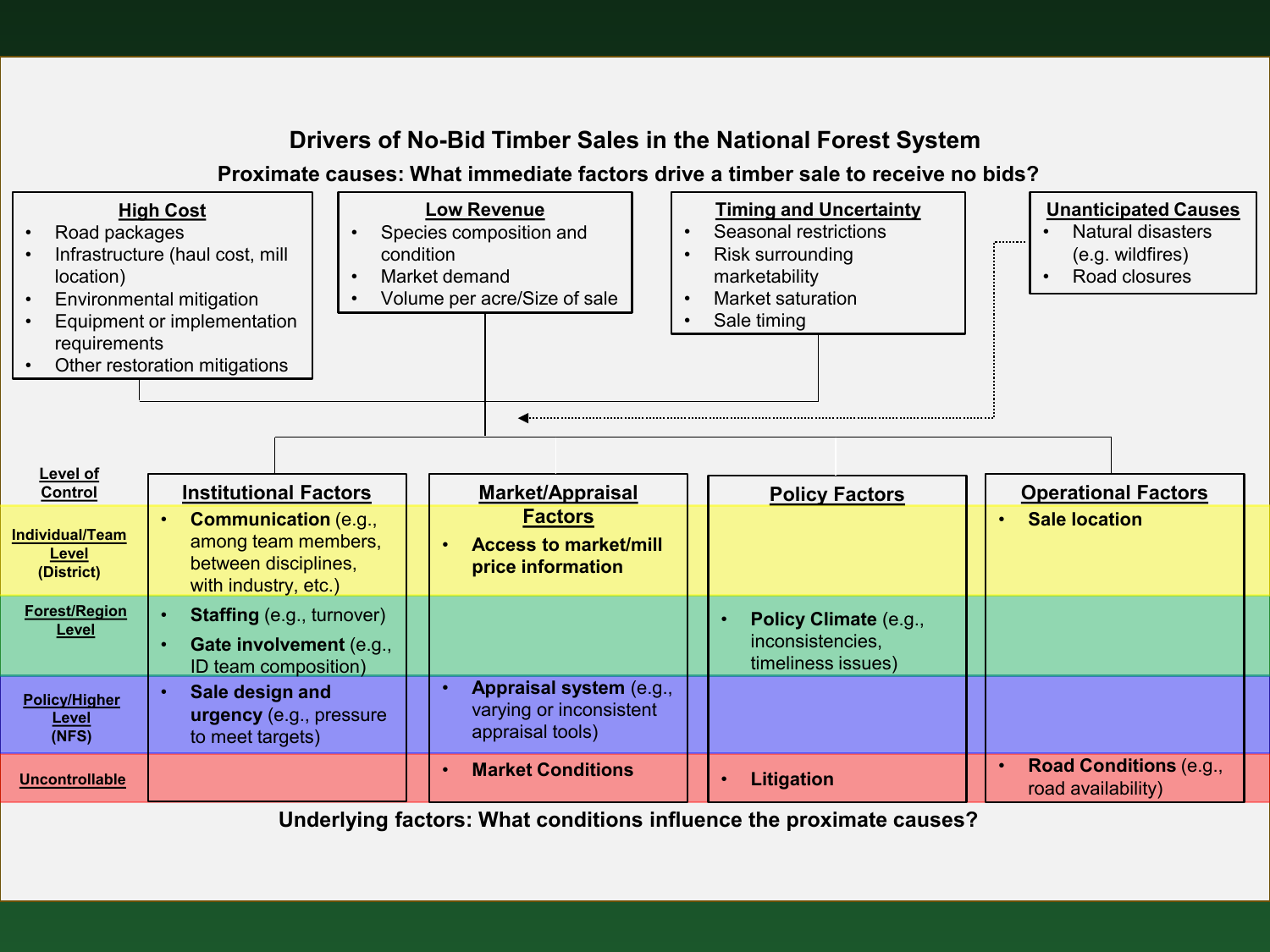#### **Drivers of No-Bid Timber Sales in the National Forest System**

**Proximate causes: What immediate factors drive a timber sale to receive no bids?** 

| <b>High Cost</b><br>Road packages<br>Infrastructure (haul cost, mill<br>location)<br>Environmental mitigation<br>Equipment or implementation<br>requirements<br>Other restoration mitigations |                                                                                                    | <b>Low Revenue</b><br>Species composition and<br>condition<br>Market demand<br>$\bullet$<br>Volume per acre/Size of sale<br>$\bullet$ |                                                                        | $\bullet$<br>$\bullet$<br>$\bullet$ | <b>Timing and Uncertainty</b><br>Seasonal restrictions<br>Risk surrounding<br>marketability<br>Market saturation<br>Sale timing |           | <b>Unanticipated Causes</b><br>Natural disasters<br>,,,,,,,,,<br>(e.g. wildfires)<br>Road closures |
|-----------------------------------------------------------------------------------------------------------------------------------------------------------------------------------------------|----------------------------------------------------------------------------------------------------|---------------------------------------------------------------------------------------------------------------------------------------|------------------------------------------------------------------------|-------------------------------------|---------------------------------------------------------------------------------------------------------------------------------|-----------|----------------------------------------------------------------------------------------------------|
| <b>Level of</b>                                                                                                                                                                               |                                                                                                    |                                                                                                                                       |                                                                        |                                     |                                                                                                                                 |           |                                                                                                    |
| Control                                                                                                                                                                                       | <b>Institutional Factors</b>                                                                       |                                                                                                                                       | <b>Market/Appraisal</b>                                                |                                     | <b>Policy Factors</b>                                                                                                           |           | <b>Operational Factors</b>                                                                         |
| <b>Individual/Team</b><br>Level<br>(District)                                                                                                                                                 | <b>Communication (e.g.,</b><br>among team members,<br>between disciplines,<br>with industry, etc.) |                                                                                                                                       | <b>Factors</b><br><b>Access to market/mill</b><br>price information    |                                     |                                                                                                                                 | $\bullet$ | <b>Sale location</b>                                                                               |
| <b>Forest/Region</b><br>Level                                                                                                                                                                 | <b>Staffing</b> (e.g., turnover)<br>$\bullet$<br>Gate involvement (e.g.,<br>ID team composition)   |                                                                                                                                       |                                                                        |                                     | Policy Climate (e.g.,<br>inconsistencies,<br>timeliness issues)                                                                 |           |                                                                                                    |
| <b>Policy/Higher</b><br>Level<br>(NFS)                                                                                                                                                        | Sale design and<br>urgency (e.g., pressure<br>to meet targets)                                     |                                                                                                                                       | Appraisal system (e.g.,<br>varying or inconsistent<br>appraisal tools) |                                     |                                                                                                                                 |           |                                                                                                    |
| <b>Uncontrollable</b>                                                                                                                                                                         |                                                                                                    |                                                                                                                                       | <b>Market Conditions</b>                                               |                                     | <b>Litigation</b>                                                                                                               | $\bullet$ | <b>Road Conditions (e.g.,</b><br>road availability)                                                |

**Underlying factors: What conditions influence the proximate causes?**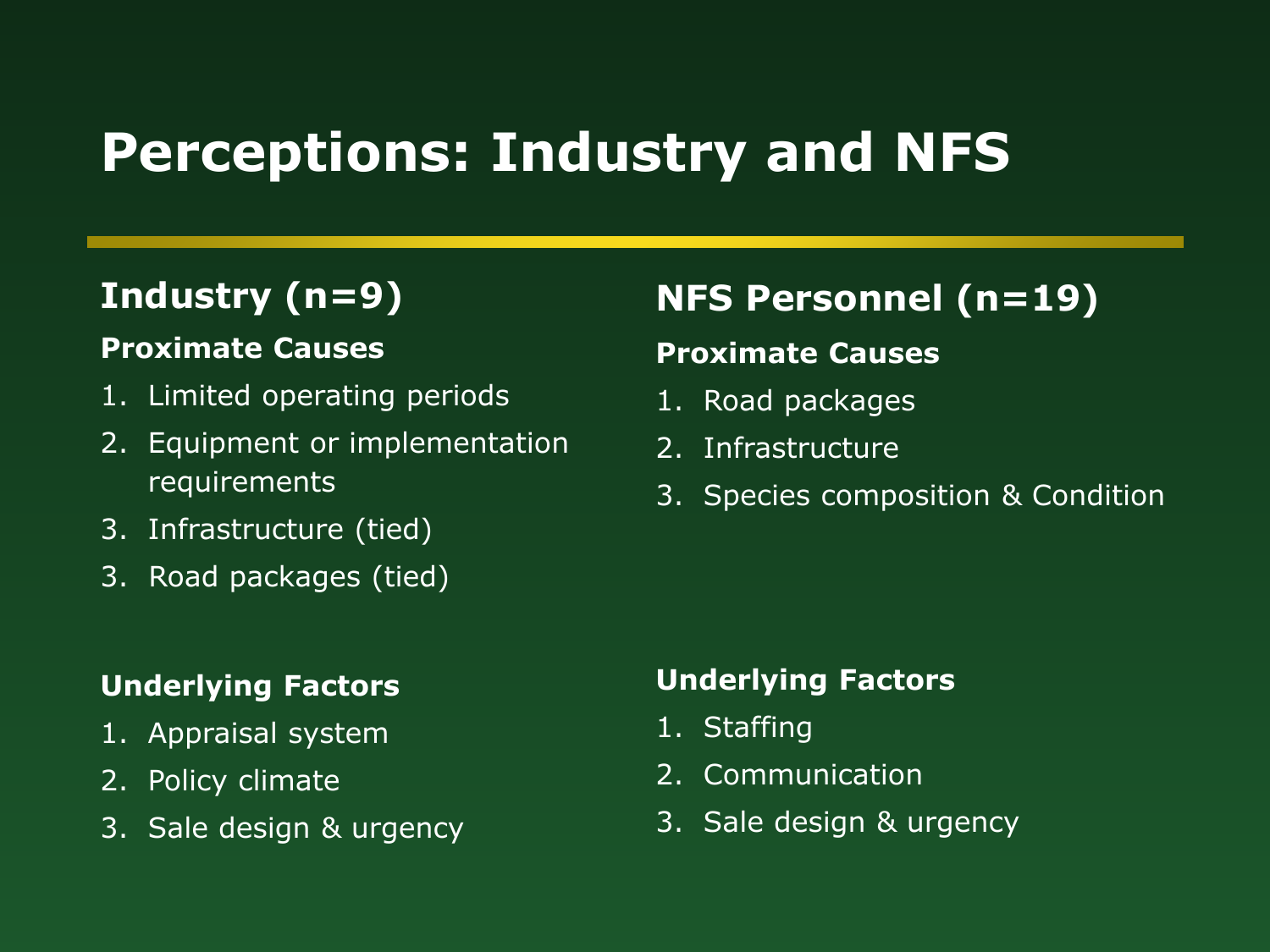# **Perceptions: Industry and NFS**

### **Industry (n=9)**

#### **Proximate Causes**

- 1. Limited operating periods
- 2. Equipment or implementation requirements
- 3. Infrastructure (tied)
- 3. Road packages (tied)

#### **Underlying Factors**

- 1. Appraisal system
- 2. Policy climate
- 3. Sale design & urgency

### **NFS Personnel (n=19)**

### **Proximate Causes**

- 1. Road packages
- 2. Infrastructure
- 3. Species composition & Condition

### **Underlying Factors**

- 1. Staffing
- 2. Communication
- 3. Sale design & urgency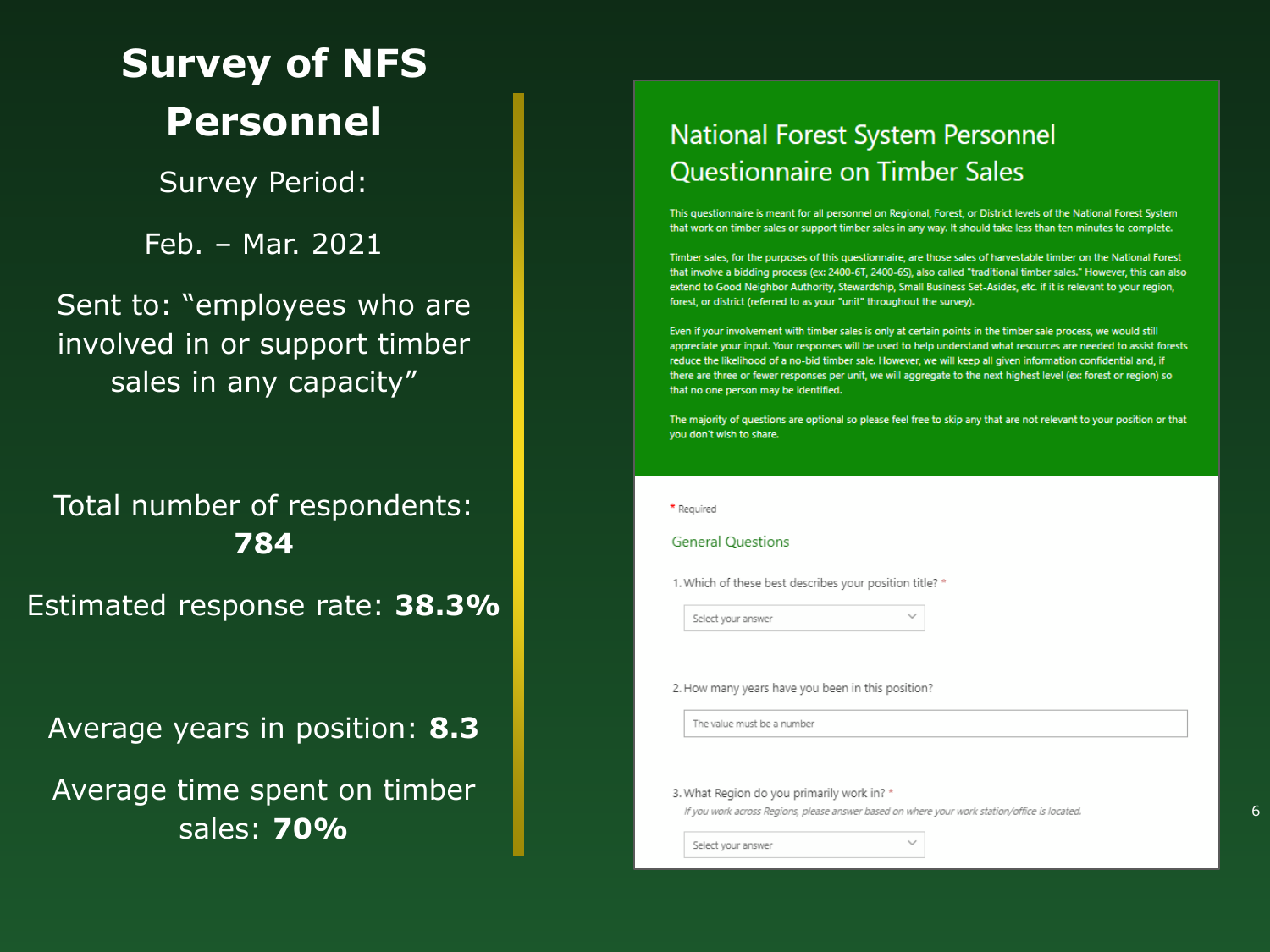### **Survey of NFS Personnel**

Survey Period:

Feb. – Mar. 2021

Sent to: "employees who are involved in or support timber sales in any capacity"

Total number of respondents: **784**

Estimated response rate: **38.3%**

Average years in position: **8.3** Average time spent on timber sales: **70%**

#### **National Forest System Personnel Questionnaire on Timber Sales**

This questionnaire is meant for all personnel on Regional, Forest, or District levels of the National Forest System that work on timber sales or support timber sales in any way. It should take less than ten minutes to complete.

Timber sales, for the purposes of this questionnaire, are those sales of harvestable timber on the National Forest that involve a bidding process (ex: 2400-6T, 2400-6S), also called "traditional timber sales." However, this can also extend to Good Neighbor Authority, Stewardship, Small Business Set-Asides, etc. if it is relevant to your region, forest, or district (referred to as your "unit" throughout the survey).

Even if your involvement with timber sales is only at certain points in the timber sale process, we would still appreciate your input. Your responses will be used to help understand what resources are needed to assist forests reduce the likelihood of a no-bid timber sale. However, we will keep all given information confidential and, if there are three or fewer responses per unit, we will aggregate to the next highest level (ex: forest or region) so that no one person may be identified.

The majority of questions are optional so please feel free to skip any that are not relevant to your position or that you don't wish to share.

\* Required

#### **General Questions**

1. Which of these best describes your position title? \*

Select vour answer

2. How many years have you been in this position?

The value must be a number

3. What Region do you primarily work in? \*

If you work across Regions, please answer based on where your work station/office is located.

Select your answer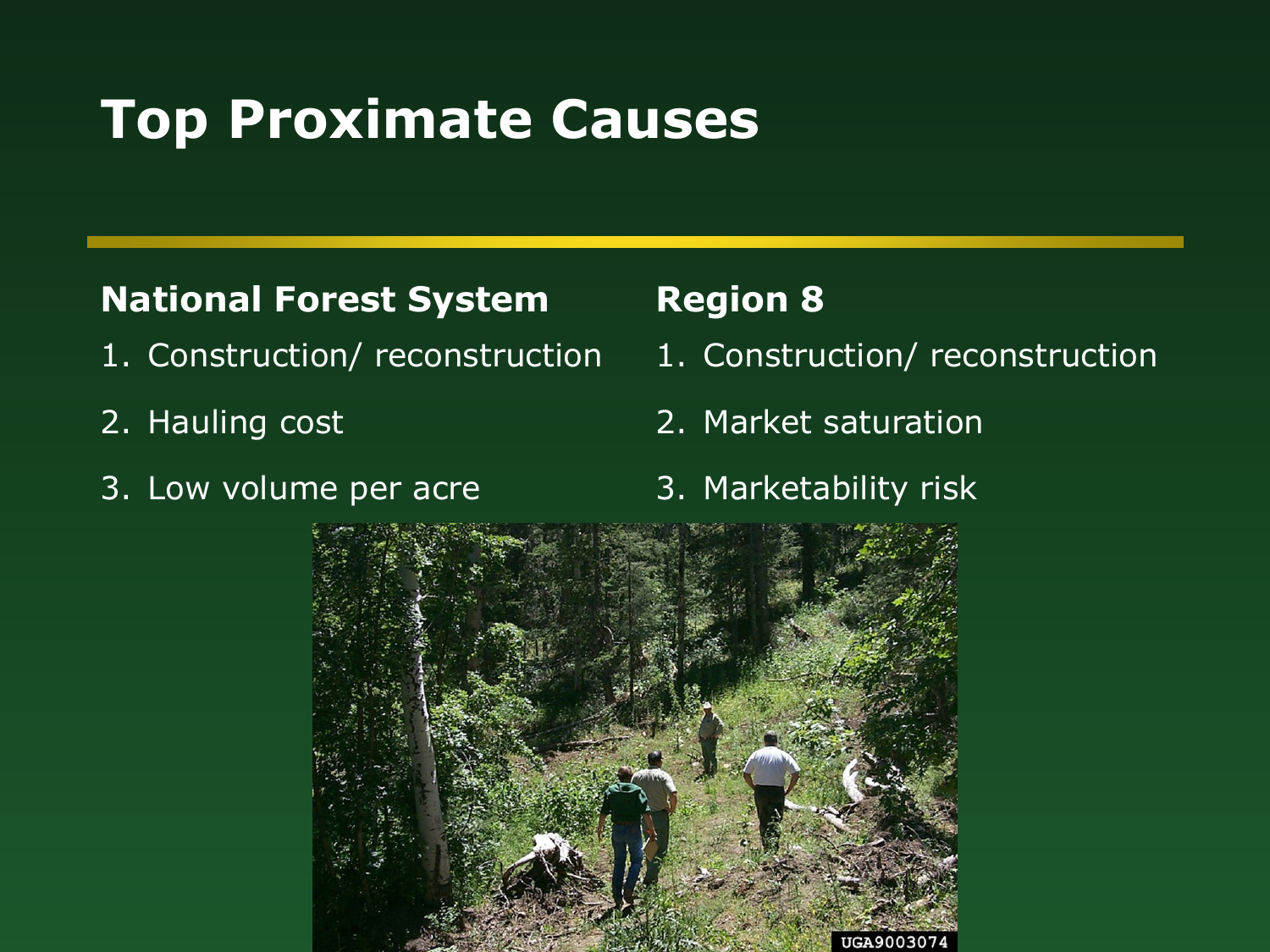# **Top Proximate Causes**

### **National Forest System**

- 1. Construction/ reconstruction
- 2. Hauling cost
- 3. Low volume per acre

### **Region 8**

- 1. Construction/ reconstruction
- 2. Market saturation
- 3. Marketability risk

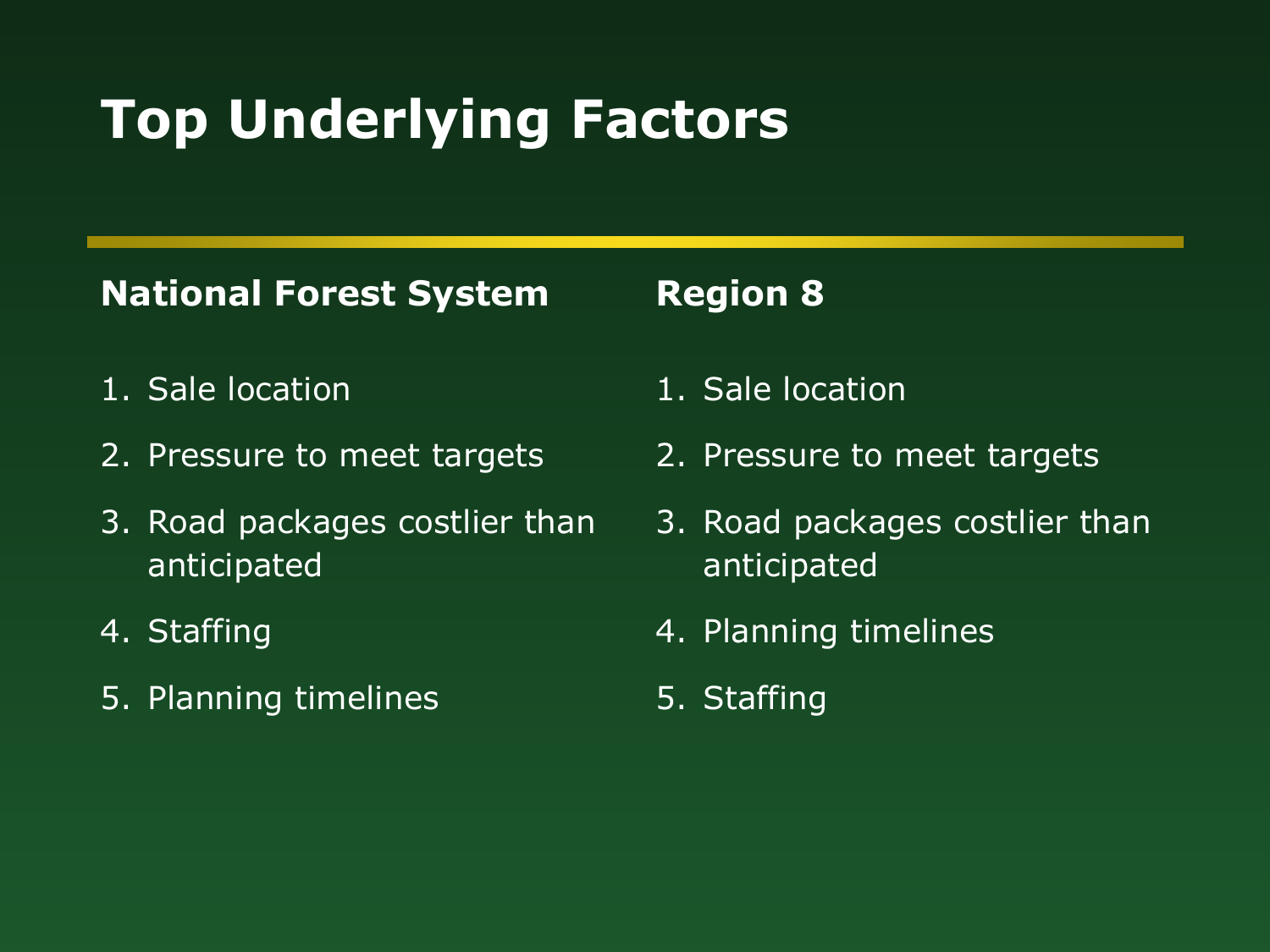# **Top Underlying Factors**

### **National Forest System**

### **Region 8**

- 1. Sale location
- 2. Pressure to meet targets
- 3. Road packages costlier than anticipated
- 4. Staffing
- 5. Planning timelines
- 1. Sale location
- 2. Pressure to meet targets
- 3. Road packages costlier than anticipated
- 4. Planning timelines
- 5. Staffing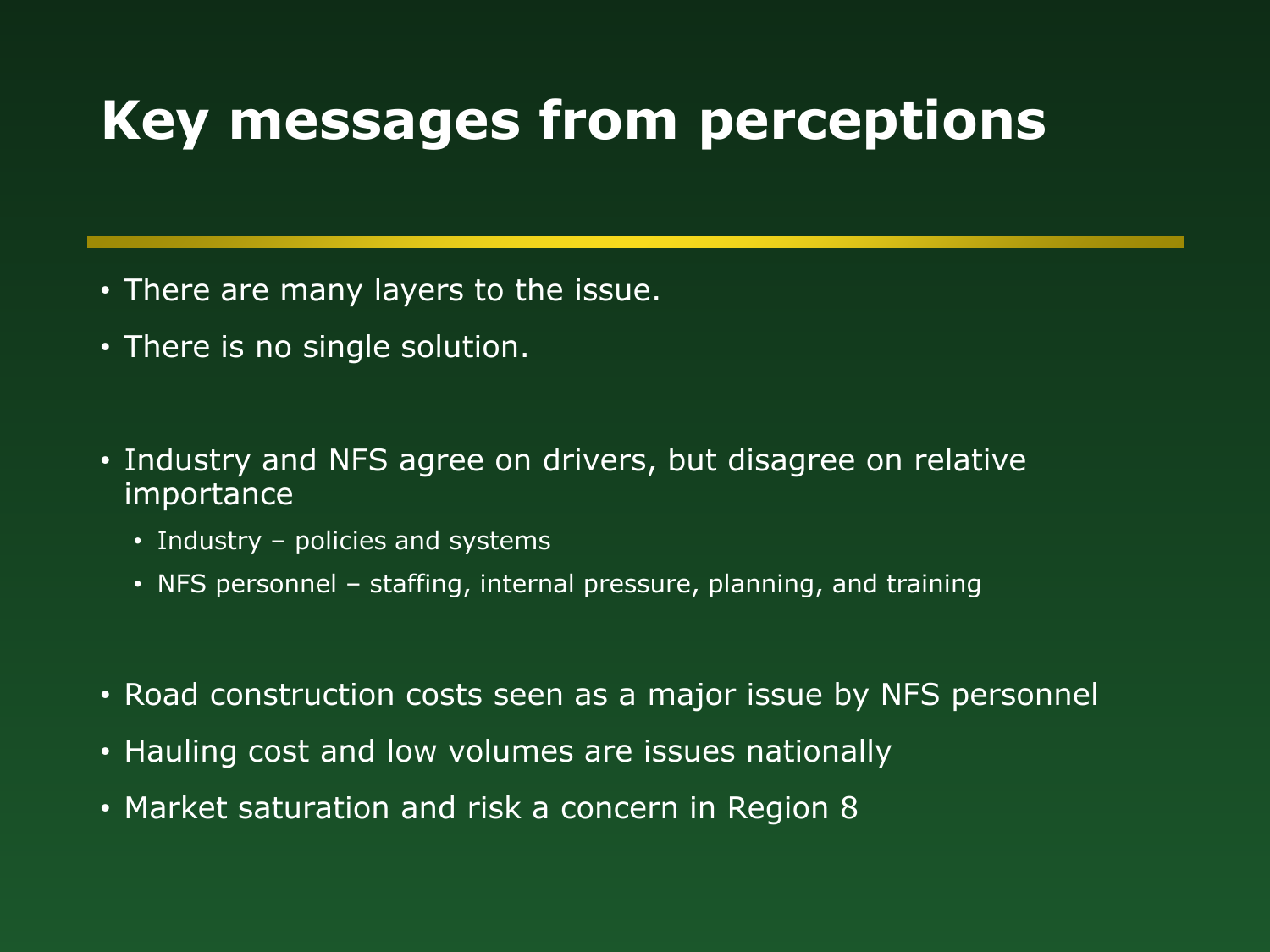### **Key messages from perceptions**

- There are many layers to the issue.
- There is no single solution.
- Industry and NFS agree on drivers, but disagree on relative importance
	- Industry policies and systems
	- NFS personnel staffing, internal pressure, planning, and training
- Road construction costs seen as a major issue by NFS personnel
- Hauling cost and low volumes are issues nationally
- Market saturation and risk a concern in Region 8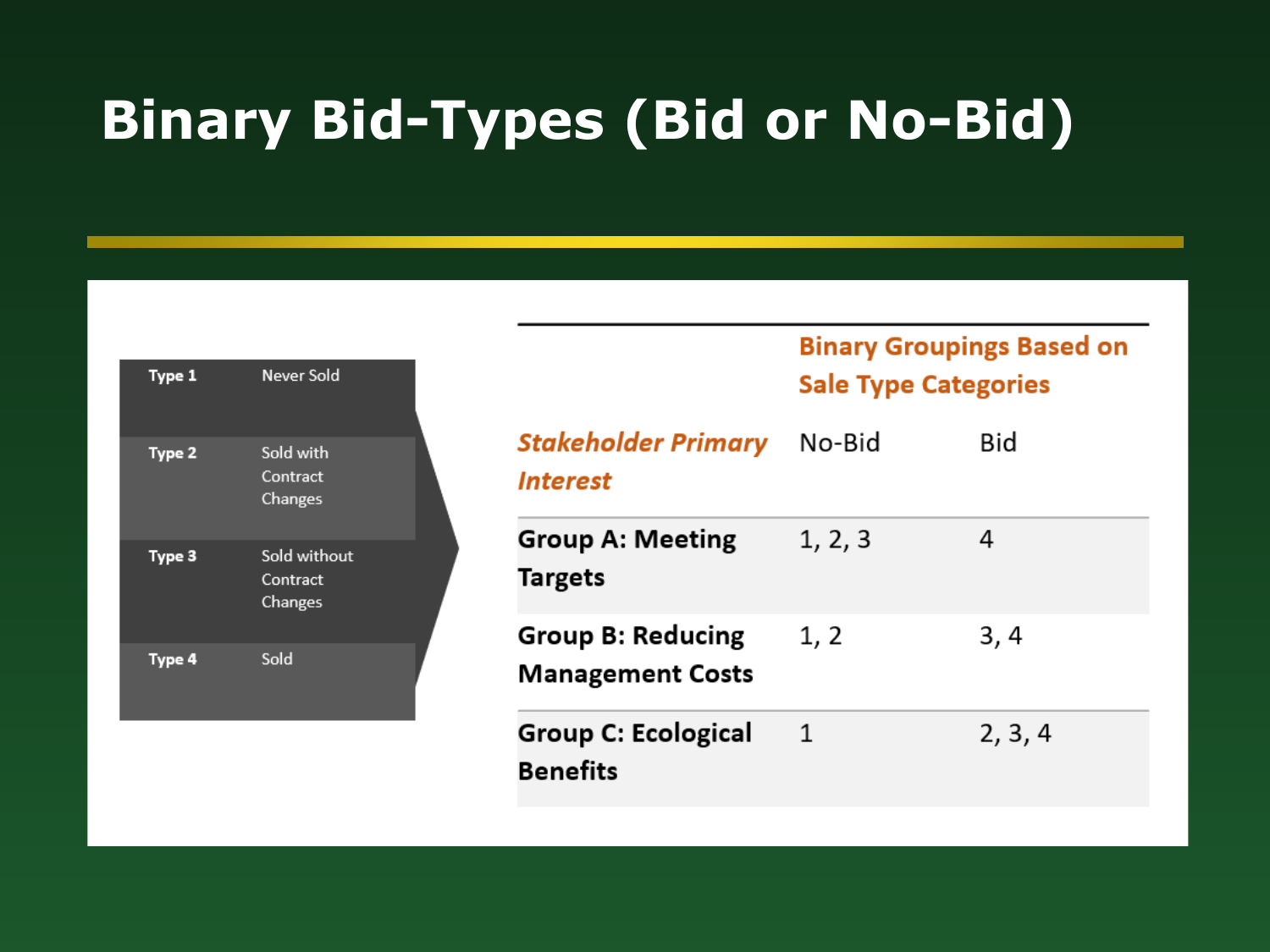# **Binary Bid-Types (Bid or No-Bid)**

| Type 1 | Never Sold                          |  |
|--------|-------------------------------------|--|
| Type 2 | Sold with<br>Contract<br>Changes    |  |
| Type 3 | Sold without<br>Contract<br>Changes |  |
| Type 4 | Sold                                |  |

|                                                      | <b>Sale Type Categories</b> |         |  |
|------------------------------------------------------|-----------------------------|---------|--|
| <b>Stakeholder Primary</b> No-Bid<br><b>Interest</b> |                             | Bid     |  |
| Group A: Meeting<br>Targets                          | 1, 2, 3                     | 4       |  |
| Group B: Reducing<br><b>Management Costs</b>         | 1, 2                        | 3,4     |  |
| Group C: Ecological<br>Benefits                      | 1                           | 2, 3, 4 |  |

**Binary Groupings Based on**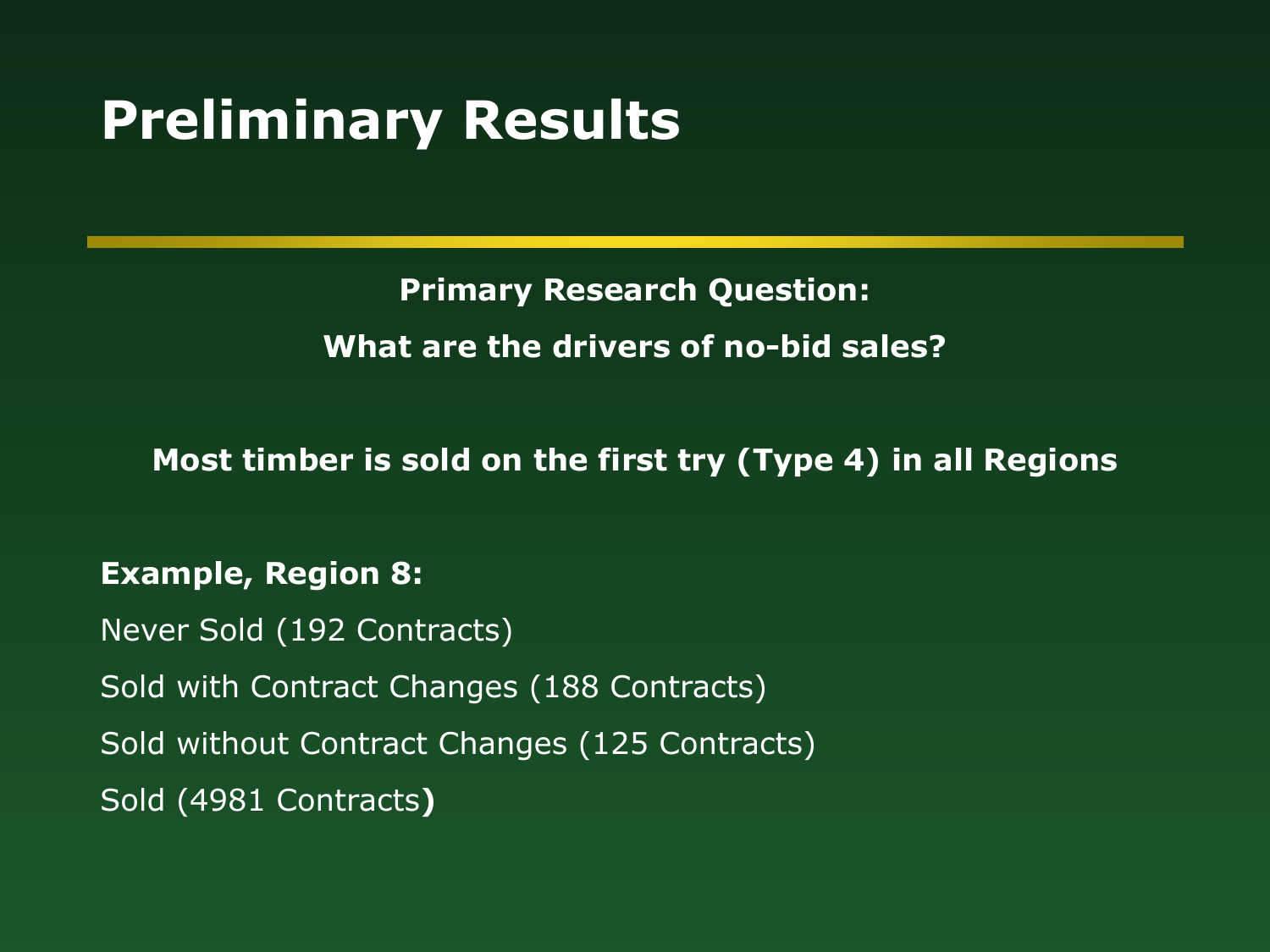# **Preliminary Results**

**Primary Research Question: What are the drivers of no-bid sales?**

**Most timber is sold on the first try (Type 4) in all Regions**

#### **Example, Region 8:**

Never Sold (192 Contracts)

Sold with Contract Changes (188 Contracts)

Sold without Contract Changes (125 Contracts)

Sold (4981 Contracts**)**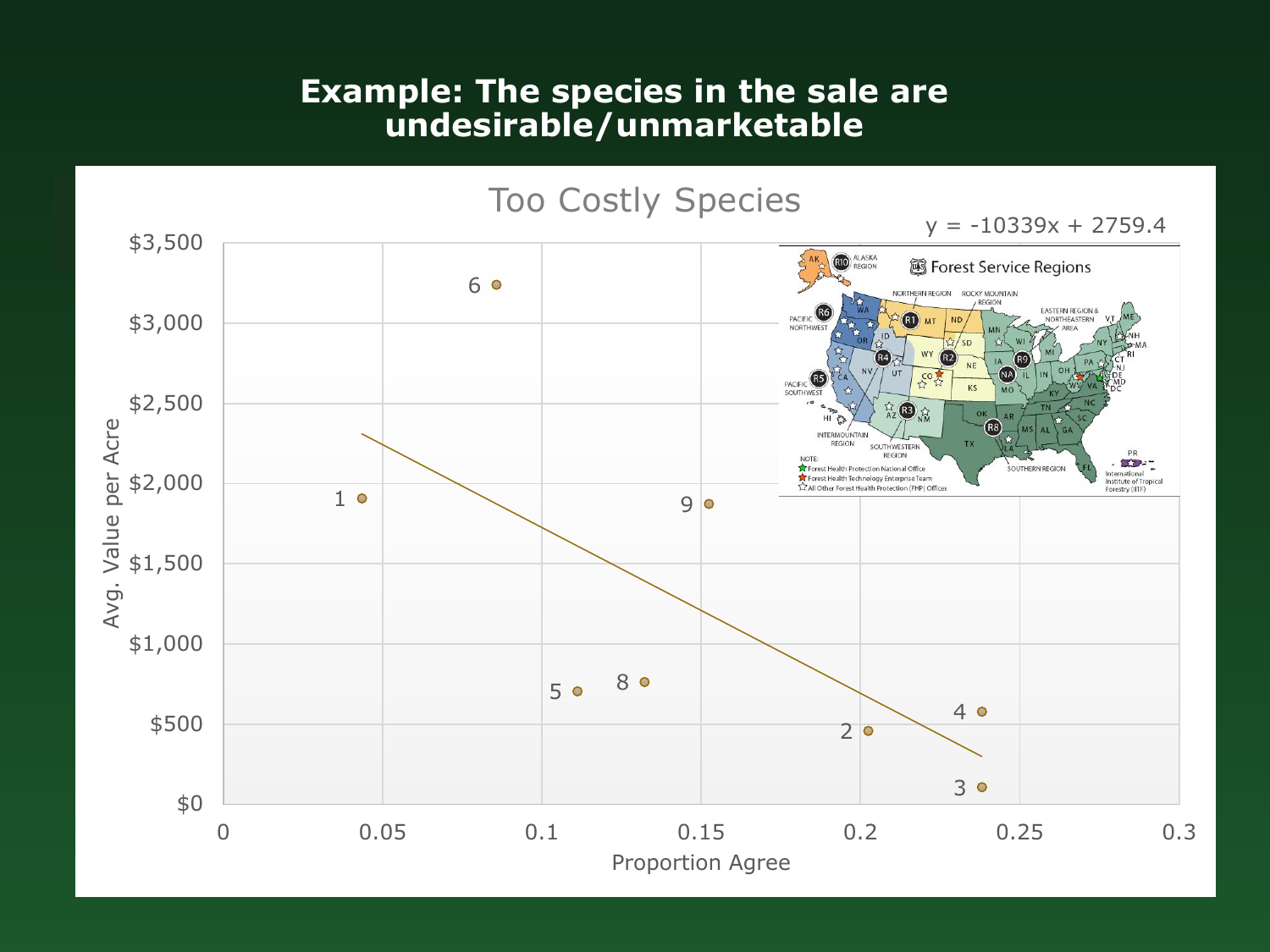### **Example: The species in the sale are undesirable/unmarketable**

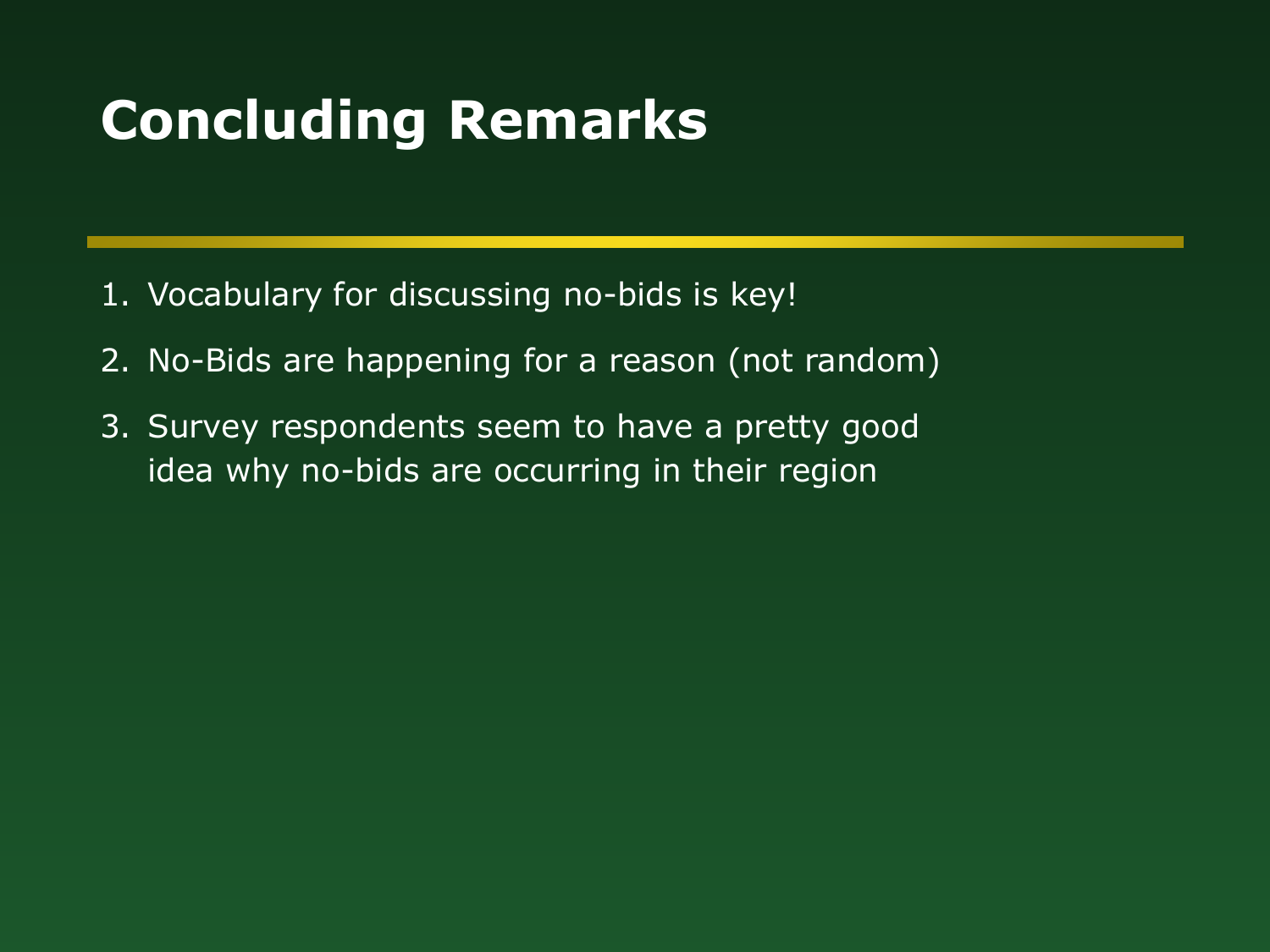# **Concluding Remarks**

- 1. Vocabulary for discussing no-bids is key!
- 2. No-Bids are happening for a reason (not random)
- 3. Survey respondents seem to have a pretty good idea why no-bids are occurring in their region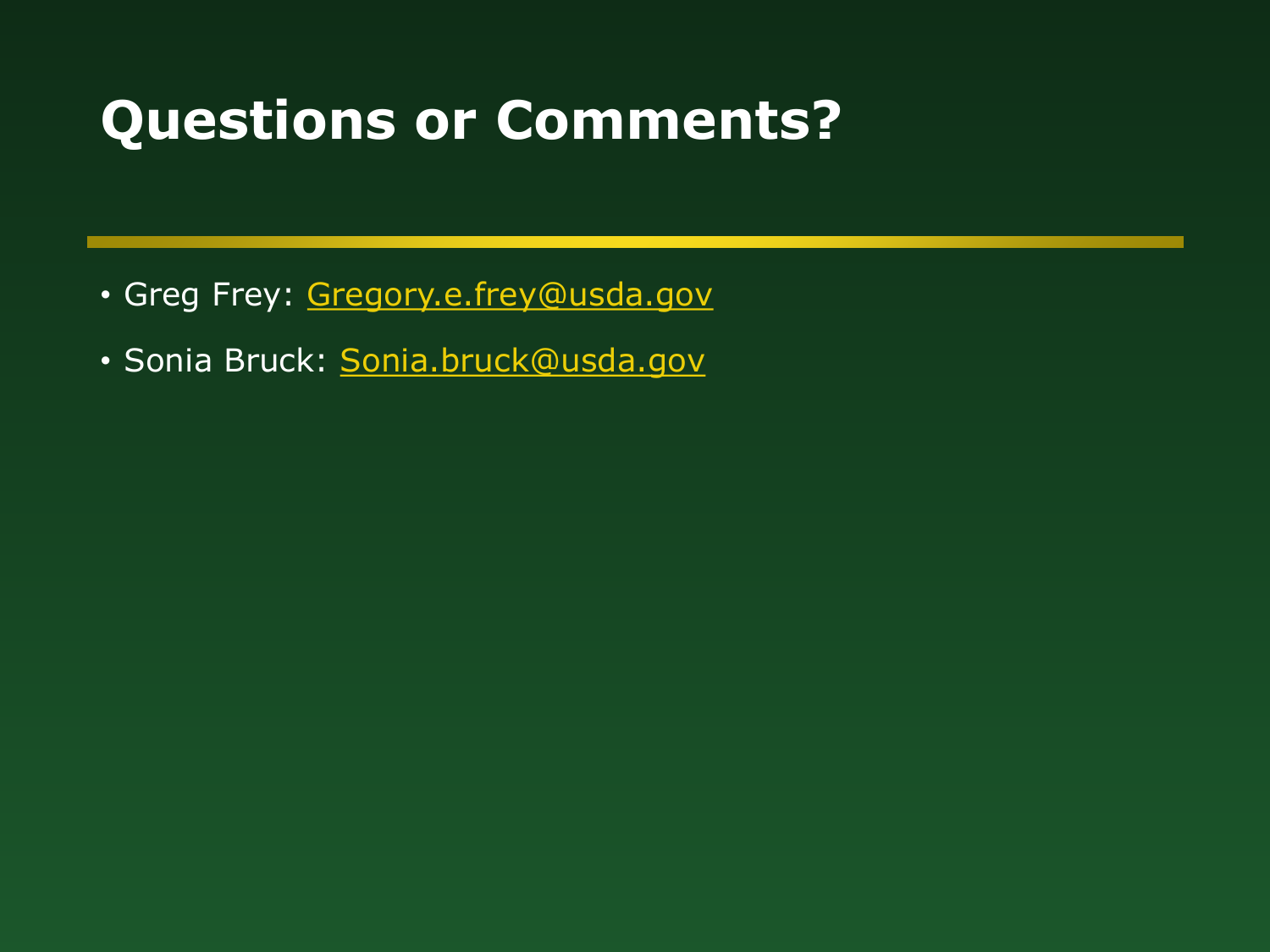## **Questions or Comments?**

- Greg Frey: [Gregory.e.frey@usda.gov](mailto:Gregory.e.frey@usda.gov)
- Sonia Bruck: [Sonia.bruck@usda.gov](mailto:Sonia.bruck@usda.gov)